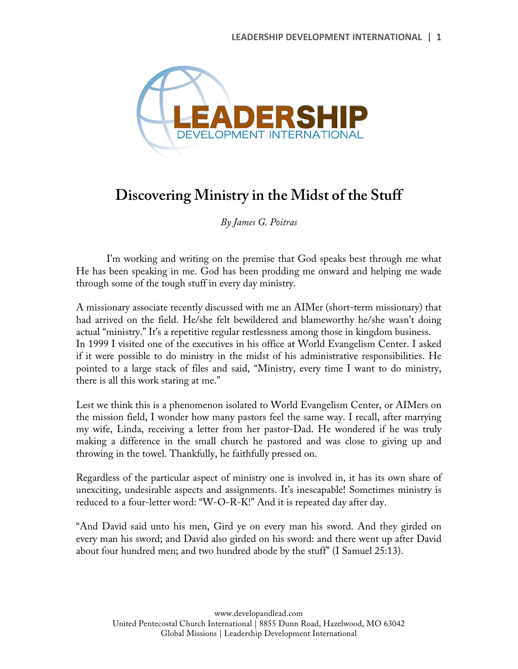

## **Discovering Ministry in the Midst of the Stuff**

*By James G. Poitras*

I'm working and writing on the premise that God speaks best through me what He has been speaking in me. God has been prodding me onward and helping me wade through some of the tough stuff in every day ministry.

A missionary associate recently discussed with me an AIMer (short-term missionary) that had arrived on the field. He/she felt bewildered and blameworthy he/she wasn't doing actual "ministry." It's a repetitive regular restlessness among those in kingdom business. In 1999 I visited one of the executives in his office at World Evangelism Center. I asked if it were possible to do ministry in the midst of his administrative responsibilities. He pointed to a large stack of files and said, "Ministry, every time I want to do ministry, there is all this work staring at me."

Lest we think this is a phenomenon isolated to World Evangelism Center, or AIMers on the mission field, I wonder how many pastors feel the same way. I recall, after marrying my wife, Linda, receiving a letter from her pastor-Dad. He wondered if he was truly making a difference in the small church he pastored and was close to giving up and throwing in the towel. Thankfully, he faithfully pressed on.

Regardless of the particular aspect of ministry one is involved in, it has its own share of unexciting, undesirable aspects and assignments. It's inescapable! Sometimes ministry is reduced to a four-letter word: "W-O-R-K!" And it is repeated day after day.

"And David said unto his men, Gird ye on every man his sword. And they girded on every man his sword; and David also girded on his sword: and there went up after David about four hundred men; and two hundred abode by the stuff" (I Samuel 25:13).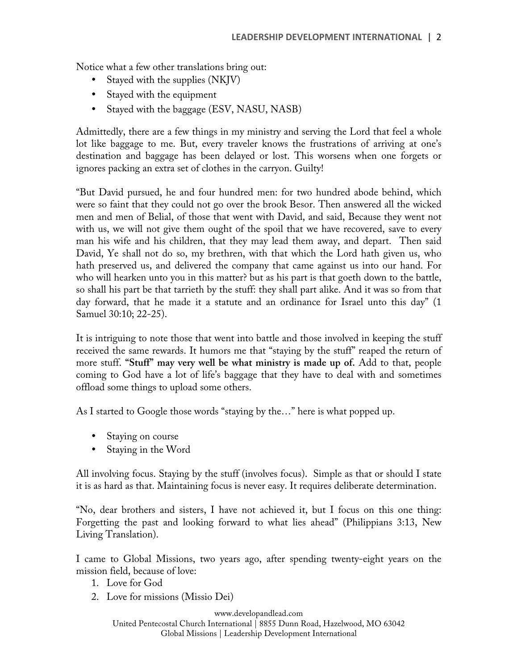Notice what a few other translations bring out:

- Stayed with the supplies (NKJV)
- Stayed with the equipment
- Stayed with the baggage (ESV, NASU, NASB)

Admittedly, there are a few things in my ministry and serving the Lord that feel a whole lot like baggage to me. But, every traveler knows the frustrations of arriving at one's destination and baggage has been delayed or lost. This worsens when one forgets or ignores packing an extra set of clothes in the carryon. Guilty!

"But David pursued, he and four hundred men: for two hundred abode behind, which were so faint that they could not go over the brook Besor. Then answered all the wicked men and men of Belial, of those that went with David, and said, Because they went not with us, we will not give them ought of the spoil that we have recovered, save to every man his wife and his children, that they may lead them away, and depart. Then said David, Ye shall not do so, my brethren, with that which the Lord hath given us, who hath preserved us, and delivered the company that came against us into our hand. For who will hearken unto you in this matter? but as his part is that goeth down to the battle, so shall his part be that tarrieth by the stuff: they shall part alike. And it was so from that day forward, that he made it a statute and an ordinance for Israel unto this day" (1 Samuel 30:10; 22-25).

It is intriguing to note those that went into battle and those involved in keeping the stuff received the same rewards. It humors me that "staying by the stuff" reaped the return of more stuff. **"Stuff" may very well be what ministry is made up of.** Add to that, people coming to God have a lot of life's baggage that they have to deal with and sometimes offload some things to upload some others.

As I started to Google those words "staying by the…" here is what popped up.

- Staying on course
- Staying in the Word

All involving focus. Staying by the stuff (involves focus). Simple as that or should I state it is as hard as that. Maintaining focus is never easy. It requires deliberate determination.

"No, dear brothers and sisters, I have not achieved it, but I focus on this one thing: Forgetting the past and looking forward to what lies ahead" (Philippians 3:13, New Living Translation).

I came to Global Missions, two years ago, after spending twenty-eight years on the mission field, because of love:

- 1. Love for God
- 2. Love for missions (Missio Dei)

www.developandlead.com United Pentecostal Church International | 8855 Dunn Road, Hazelwood, MO 63042 Global Missions | Leadership Development International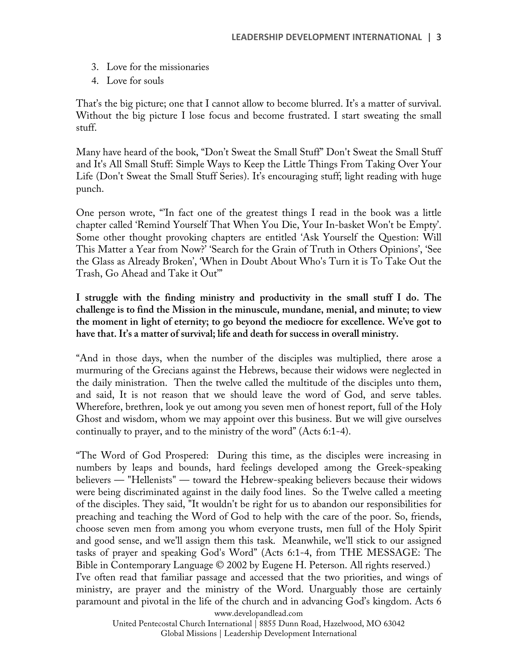- 3. Love for the missionaries
- 4. Love for souls

That's the big picture; one that I cannot allow to become blurred. It's a matter of survival. Without the big picture I lose focus and become frustrated. I start sweating the small stuff.

Many have heard of the book, "Don't Sweat the Small Stuff" Don't Sweat the Small Stuff and It's All Small Stuff: Simple Ways to Keep the Little Things From Taking Over Your Life (Don't Sweat the Small Stuff Series). It's encouraging stuff; light reading with huge punch.

One person wrote, "'In fact one of the greatest things I read in the book was a little chapter called 'Remind Yourself That When You Die, Your In-basket Won't be Empty'. Some other thought provoking chapters are entitled 'Ask Yourself the Question: Will This Matter a Year from Now?' 'Search for the Grain of Truth in Others Opinions', 'See the Glass as Already Broken', 'When in Doubt About Who's Turn it is To Take Out the Trash, Go Ahead and Take it Out'"

**I struggle with the finding ministry and productivity in the small stuff I do. The challenge is to find the Mission in the minuscule, mundane, menial, and minute; to view the moment in light of eternity; to go beyond the mediocre for excellence. We've got to have that. It's a matter of survival; life and death for success in overall ministry.**

"And in those days, when the number of the disciples was multiplied, there arose a murmuring of the Grecians against the Hebrews, because their widows were neglected in the daily ministration. Then the twelve called the multitude of the disciples unto them, and said, It is not reason that we should leave the word of God, and serve tables. Wherefore, brethren, look ye out among you seven men of honest report, full of the Holy Ghost and wisdom, whom we may appoint over this business. But we will give ourselves continually to prayer, and to the ministry of the word" (Acts 6:1-4).

"The Word of God Prospered: During this time, as the disciples were increasing in numbers by leaps and bounds, hard feelings developed among the Greek-speaking believers — "Hellenists" — toward the Hebrew-speaking believers because their widows were being discriminated against in the daily food lines. So the Twelve called a meeting of the disciples. They said, "It wouldn't be right for us to abandon our responsibilities for preaching and teaching the Word of God to help with the care of the poor. So, friends, choose seven men from among you whom everyone trusts, men full of the Holy Spirit and good sense, and we'll assign them this task. Meanwhile, we'll stick to our assigned tasks of prayer and speaking God's Word" (Acts 6:1-4, from THE MESSAGE: The Bible in Contemporary Language © 2002 by Eugene H. Peterson. All rights reserved.) I've often read that familiar passage and accessed that the two priorities, and wings of ministry, are prayer and the ministry of the Word. Unarguably those are certainly paramount and pivotal in the life of the church and in advancing God's kingdom. Acts 6

www.developandlead.com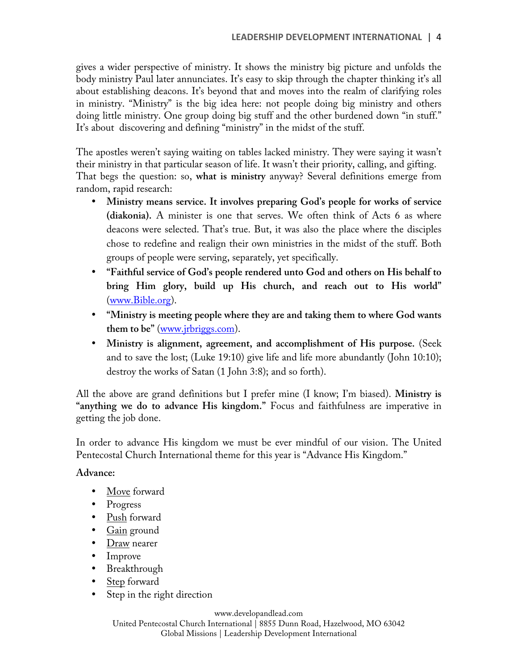gives a wider perspective of ministry. It shows the ministry big picture and unfolds the body ministry Paul later annunciates. It's easy to skip through the chapter thinking it's all about establishing deacons. It's beyond that and moves into the realm of clarifying roles in ministry. "Ministry" is the big idea here: not people doing big ministry and others doing little ministry. One group doing big stuff and the other burdened down "in stuff." It's about discovering and defining "ministry" in the midst of the stuff.

The apostles weren't saying waiting on tables lacked ministry. They were saying it wasn't their ministry in that particular season of life. It wasn't their priority, calling, and gifting. That begs the question: so, **what is ministry** anyway? Several definitions emerge from random, rapid research:

- **Ministry means service. It involves preparing God's people for works of service (diakonia).** A minister is one that serves. We often think of Acts 6 as where deacons were selected. That's true. But, it was also the place where the disciples chose to redefine and realign their own ministries in the midst of the stuff. Both groups of people were serving, separately, yet specifically.
- **"Faithful service of God's people rendered unto God and others on His behalf to bring Him glory, build up His church, and reach out to His world"**  (www.Bible.org).
- **"Ministry is meeting people where they are and taking them to where God wants them to be"** (www.jrbriggs.com).
- **Ministry is alignment, agreement, and accomplishment of His purpose.** (Seek and to save the lost; (Luke 19:10) give life and life more abundantly (John 10:10); destroy the works of Satan (1 John 3:8); and so forth).

All the above are grand definitions but I prefer mine (I know; I'm biased). **Ministry is "anything we do to advance His kingdom."** Focus and faithfulness are imperative in getting the job done.

In order to advance His kingdom we must be ever mindful of our vision. The United Pentecostal Church International theme for this year is "Advance His Kingdom."

## **Advance:**

- Move forward
- Progress
- Push forward
- Gain ground
- Draw nearer
- Improve
- Breakthrough
- Step forward
- Step in the right direction

www.developandlead.com

United Pentecostal Church International | 8855 Dunn Road, Hazelwood, MO 63042 Global Missions | Leadership Development International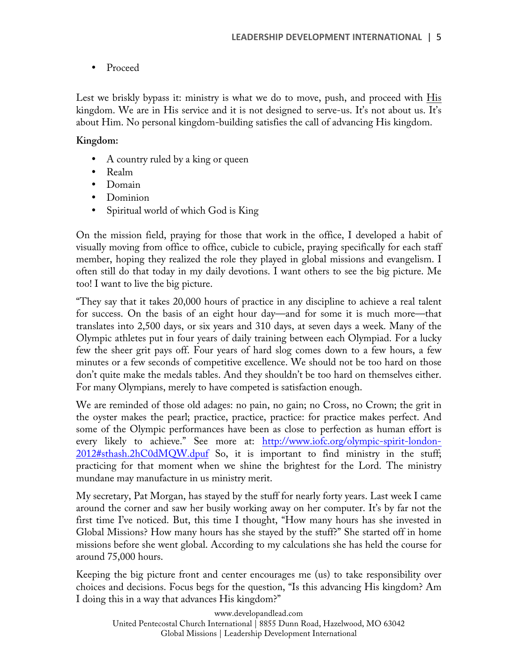• Proceed

Lest we briskly bypass it: ministry is what we do to move, push, and proceed with His kingdom. We are in His service and it is not designed to serve-us. It's not about us. It's about Him. No personal kingdom-building satisfies the call of advancing His kingdom.

## **Kingdom:**

- A country ruled by a king or queen
- Realm
- Domain
- Dominion
- Spiritual world of which God is King

On the mission field, praying for those that work in the office, I developed a habit of visually moving from office to office, cubicle to cubicle, praying specifically for each staff member, hoping they realized the role they played in global missions and evangelism. I often still do that today in my daily devotions. I want others to see the big picture. Me too! I want to live the big picture.

"They say that it takes 20,000 hours of practice in any discipline to achieve a real talent for success. On the basis of an eight hour day—and for some it is much more—that translates into 2,500 days, or six years and 310 days, at seven days a week. Many of the Olympic athletes put in four years of daily training between each Olympiad. For a lucky few the sheer grit pays off. Four years of hard slog comes down to a few hours, a few minutes or a few seconds of competitive excellence. We should not be too hard on those don't quite make the medals tables. And they shouldn't be too hard on themselves either. For many Olympians, merely to have competed is satisfaction enough.

We are reminded of those old adages: no pain, no gain; no Cross, no Crown; the grit in the oyster makes the pearl; practice, practice, practice: for practice makes perfect. And some of the Olympic performances have been as close to perfection as human effort is every likely to achieve." See more at: http://www.iofc.org/olympic-spirit-london-2012#sthash.2hC0dMQW.dpuf So, it is important to find ministry in the stuff; practicing for that moment when we shine the brightest for the Lord. The ministry mundane may manufacture in us ministry merit.

My secretary, Pat Morgan, has stayed by the stuff for nearly forty years. Last week I came around the corner and saw her busily working away on her computer. It's by far not the first time I've noticed. But, this time I thought, "How many hours has she invested in Global Missions? How many hours has she stayed by the stuff?" She started off in home missions before she went global. According to my calculations she has held the course for around 75,000 hours.

Keeping the big picture front and center encourages me (us) to take responsibility over choices and decisions. Focus begs for the question, "Is this advancing His kingdom? Am I doing this in a way that advances His kingdom?"

www.developandlead.com United Pentecostal Church International | 8855 Dunn Road, Hazelwood, MO 63042 Global Missions | Leadership Development International